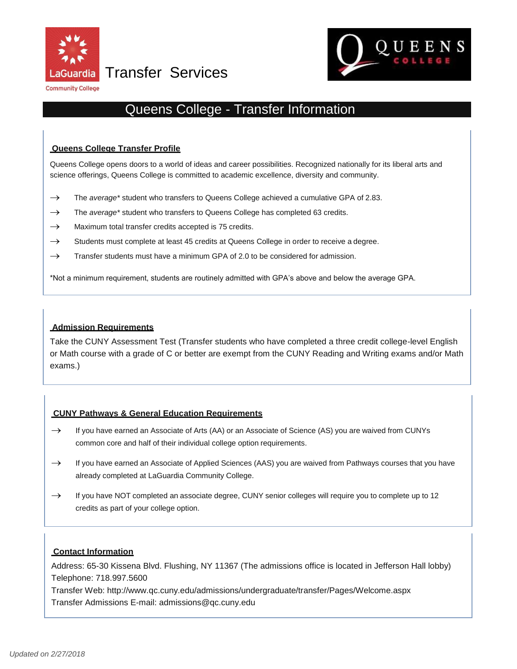

Transfer Services



# QUEE

# Queens College - Transfer Information

## **Queens College Transfer Profile**

 Queens College opens doors to a world of ideas and career possibilities. Recognized nationally for its liberal arts and science offerings, Queens College is committed to academic excellence, diversity and community.

- → The *average\** student who transfers to Queens College achieved a cumulative GPA of 2.83.
- $\rightarrow$  The *average* \* student who transfers to Queens College has completed 63 credits.
- $\rightarrow$  Maximum total transfer credits accepted is 75 credits.
- $\rightarrow$  Students must complete at least 45 credits at Queens College in order to receive a degree.
- $\rightarrow$  Transfer students must have a minimum GPA of 2.0 to be considered for admission.

\*Not a minimum requirement, students are routinely admitted with GPA's above and below the average GPA.

## **Admission Requirements**

Take the CUNY Assessment Test (Transfer students who have completed a three credit college-level English or Math course with a grade of C or better are exempt from the CUNY Reading and Writing exams and/or Math exams.)

## **CUNY Pathways & General Education Requirements**

- $\rightarrow$  If you have earned an Associate of Arts (AA) or an Associate of Science (AS) you are waived from CUNYs common core and half of their individual college option requirements.
- already completed at LaGuardia Community College.  $\rightarrow$  If you have earned an Associate of Applied Sciences (AAS) you are waived from Pathways courses that you have
- $\rightarrow$  If you have NOT completed an associate degree, CUNY senior colleges will require you to complete up to 12 credits as part of your college option.

## **Contact Information**

Address: 65-30 Kissena Blvd. Flushing, NY 11367 (The admissions office is located in Jefferson Hall lobby) Telephone: 718.997.5600

Transfer Web:<http://www.qc.cuny.edu/admissions/undergraduate/transfer/Pages/Welcome.aspx> Transfer Admissions E-mail: [admissions@qc.cuny.edu](mailto:admissions@qc.cuny.edu)